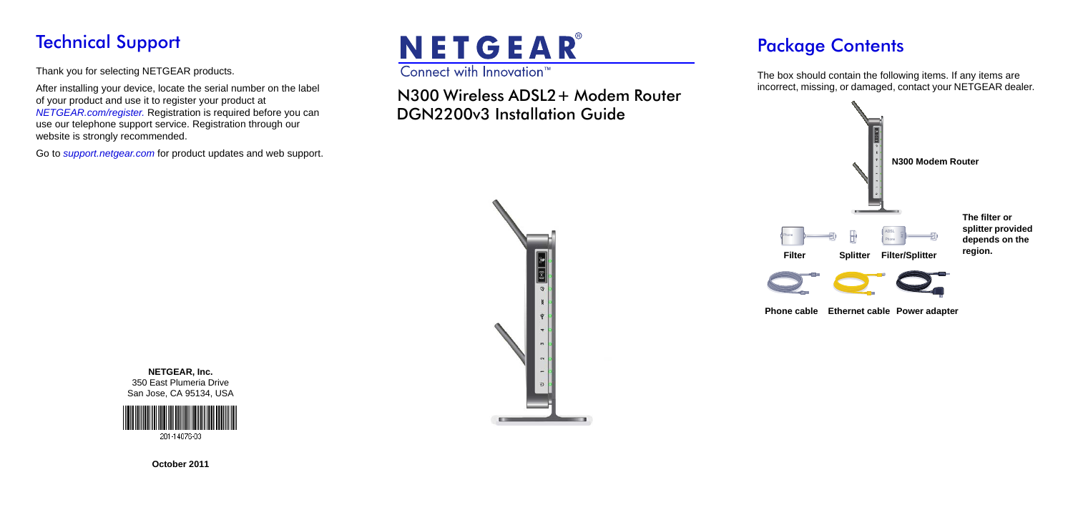## Technical Support

Thank you for selecting NETGEAR products.

After installing your device, locate the serial number on the label of your product and use it to register your product at *[NETGEAR.com/register.](www.NETGEAR.com/register)* Registration is required before you can use our telephone support service. Registration through our website is strongly recommended.

Go to *[support.netgear.com](http://support.netgear.com)* for product updates and web support.

# NETGEAR® Connect with Innovation<sup>™</sup>

N300 Wireless ADSL2+ Modem Router DGN2200v3 Installation Guide

## Package Contents

The box should contain the following items. If any items are incorrect, missing, or damaged, contact your NETGEAR dealer.





**NETGEAR, Inc.** 350 East Plumeria Drive San Jose, CA 95134, USA



**October 2011**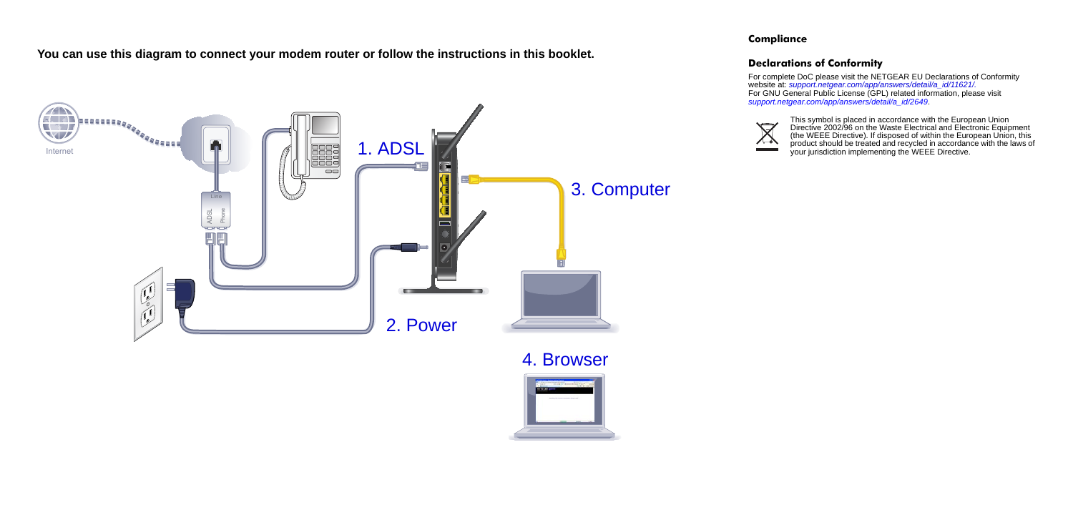**You can use this diagram to connect your modem router or follow the instructions in this booklet.**



#### **Compliance**

### **Declarations of Conformity**

For complete DoC please visit the NETGEAR EU Declarations of Conformity website at: *[support.netgear.com/app/answers/detail/a\\_id/11621/.](http://support.netgear.com/app/answers/detail/a_id/11621/)*  For GNU General Public License (GPL) related information, please visit *[support.netgear.com/app/answers/detail/a\\_id/2649](http://support.netgear.com/app/answers/detail/a_id/2649)*.



This symbol is placed in accordance with the European Union Directive 2002/96 on the Waste Electrical and Electronic Equipment (the WEEE Directive). If disposed of within the European Union, this product should be treated and recycled in accordance with the laws of your jurisdiction implementing the WEEE Directive.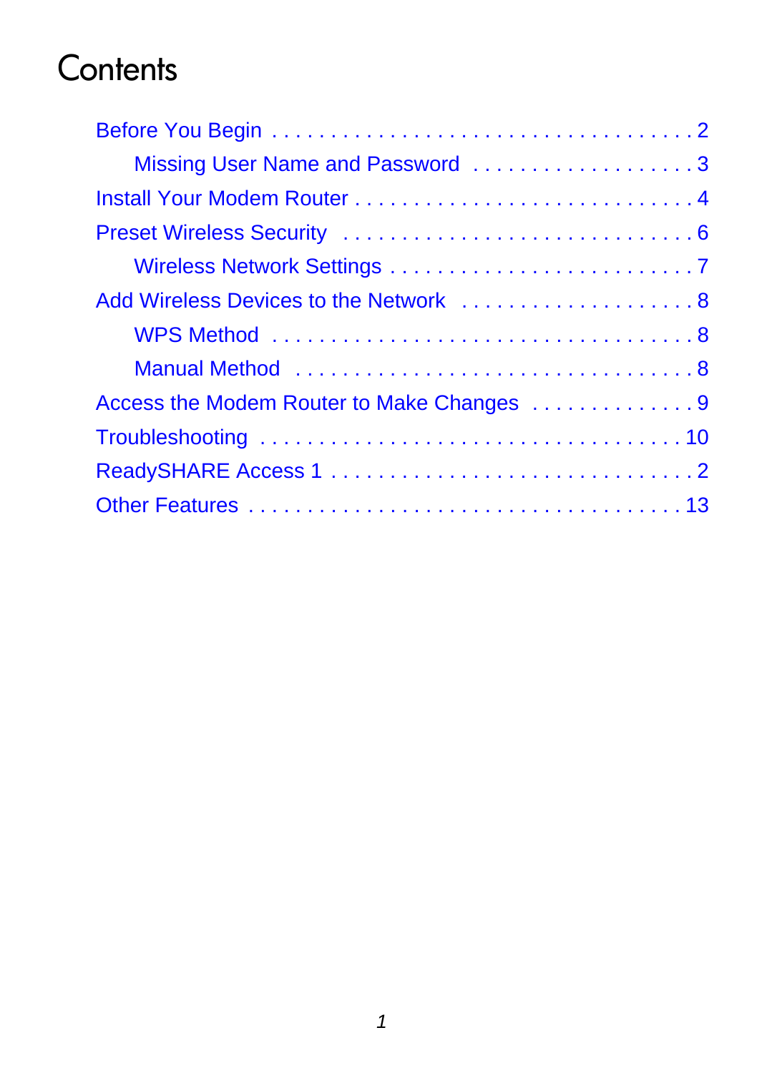## **Contents**

| Missing User Name and Password 3          |
|-------------------------------------------|
|                                           |
|                                           |
|                                           |
| Add Wireless Devices to the Network  8    |
|                                           |
|                                           |
| Access the Modem Router to Make Changes 9 |
|                                           |
|                                           |
|                                           |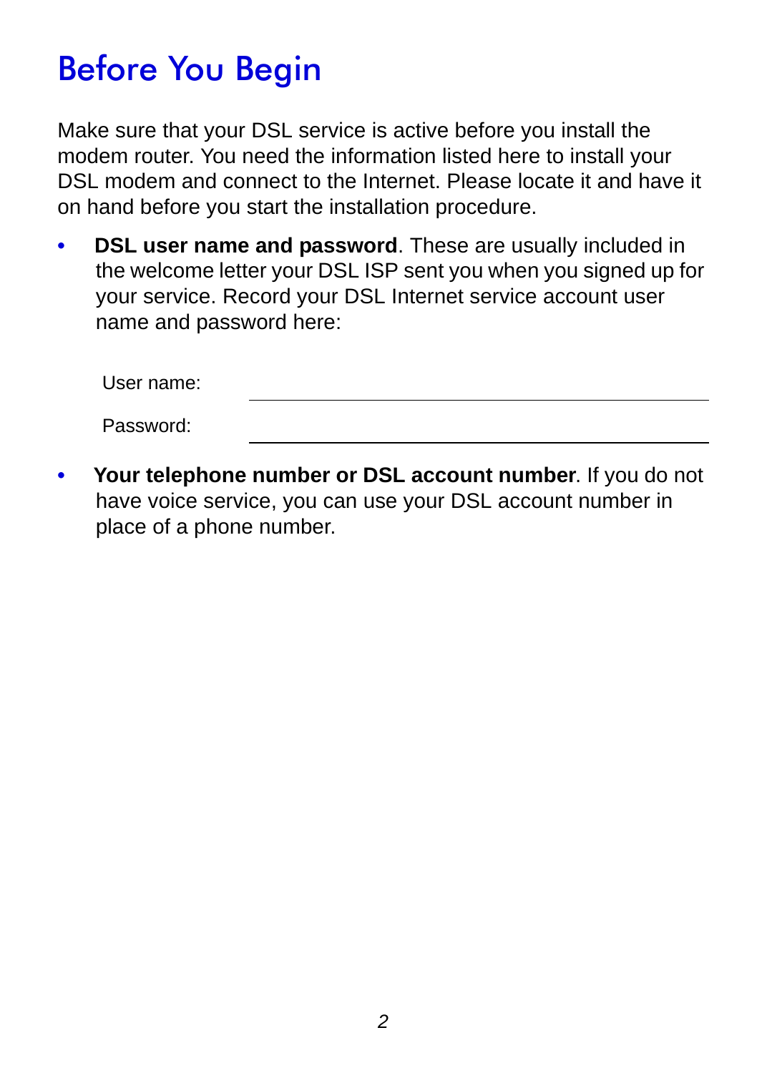## <span id="page-3-0"></span>Before You Begin

Make sure that your DSL service is active before you install the modem router. You need the information listed here to install your DSL modem and connect to the Internet. Please locate it and have it on hand before you start the installation procedure.

**DSL user name and password**. These are usually included in the welcome letter your DSL ISP sent you when you signed up for your service. Record your DSL Internet service account user name and password here:

| User name: |  |  |
|------------|--|--|
| Password:  |  |  |

**• Your telephone number or DSL account number**. If you do not have voice service, you can use your DSL account number in place of a phone number.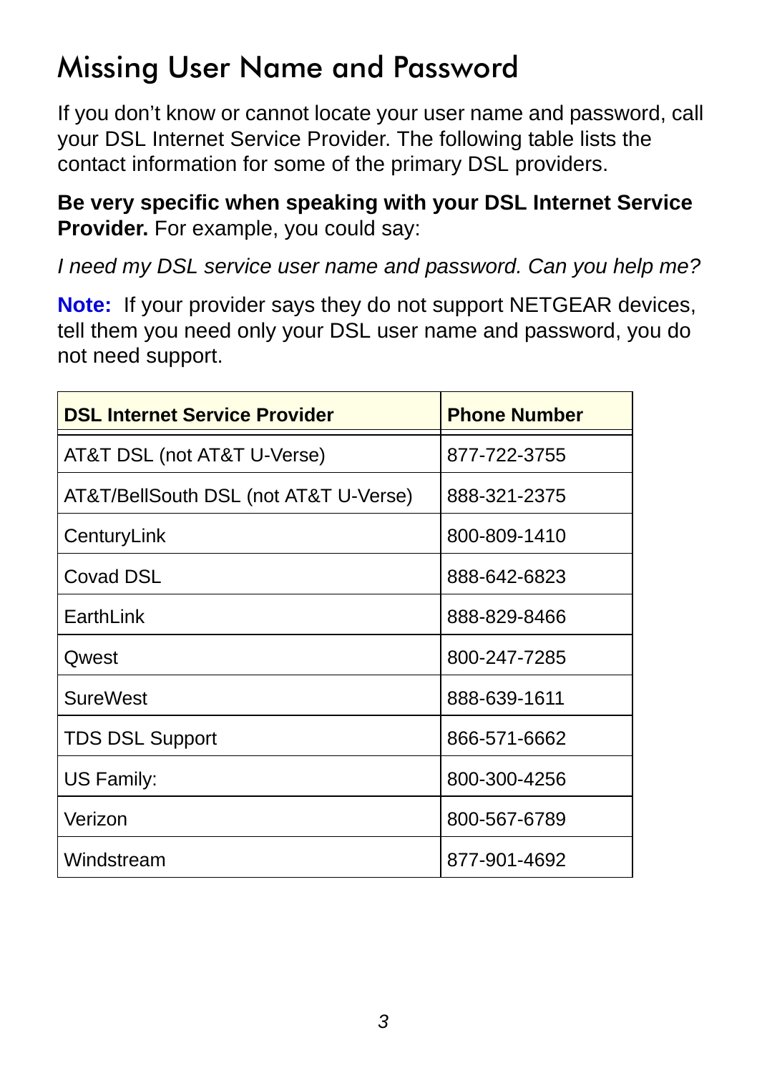## <span id="page-4-0"></span>Missing User Name and Password

If you don't know or cannot locate your user name and password, call your DSL Internet Service Provider. The following table lists the contact information for some of the primary DSL providers.

**Be very specific when speaking with your DSL Internet Service Provider.** For example, you could say:

*I need my DSL service user name and password. Can you help me?*

**Note:** If your provider says they do not support NETGEAR devices, tell them you need only your DSL user name and password, you do not need support.

| <b>DSL Internet Service Provider</b>  | <b>Phone Number</b> |
|---------------------------------------|---------------------|
| AT&T DSL (not AT&T U-Verse)           | 877-722-3755        |
| AT&T/BellSouth DSL (not AT&T U-Verse) | 888-321-2375        |
| CenturyLink                           | 800-809-1410        |
| Covad DSL                             | 888-642-6823        |
| EarthLink                             | 888-829-8466        |
| Qwest                                 | 800-247-7285        |
| <b>SureWest</b>                       | 888-639-1611        |
| <b>TDS DSL Support</b>                | 866-571-6662        |
| US Family:                            | 800-300-4256        |
| Verizon                               | 800-567-6789        |
| Windstream                            | 877-901-4692        |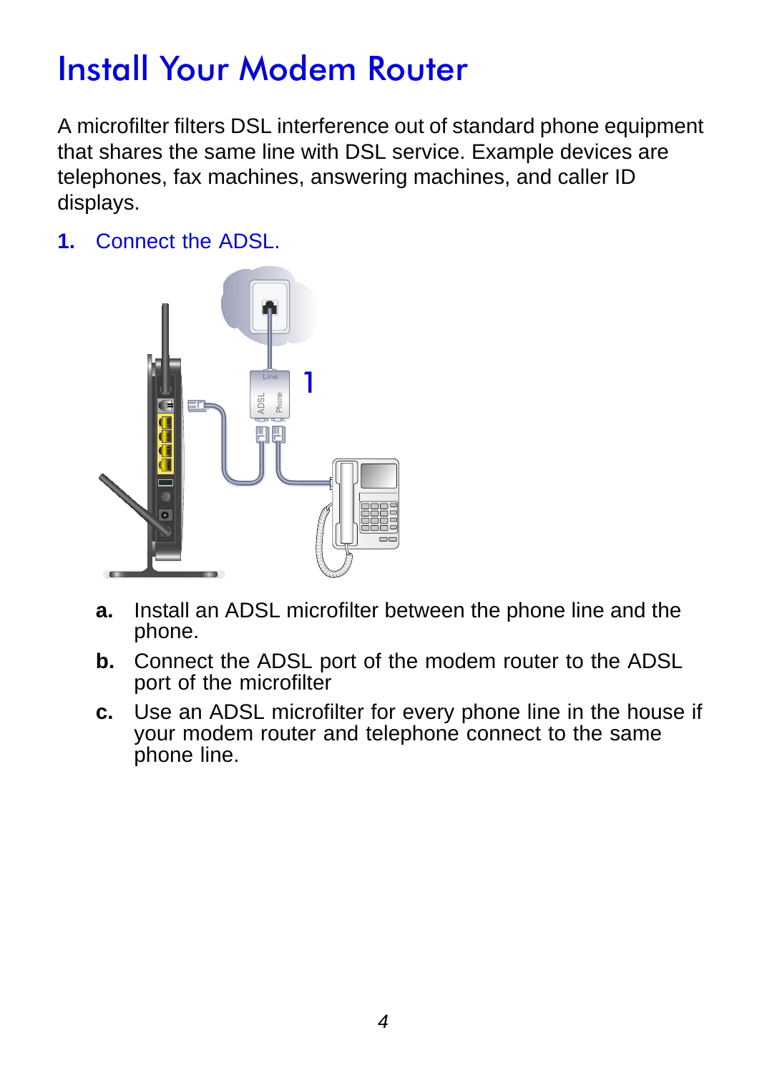## <span id="page-5-0"></span>Install Your Modem Router

A microfilter filters DSL interference out of standard phone equipment that shares the same line with DSL service. Example devices are telephones, fax machines, answering machines, and caller ID displays.

**1.** Connect the ADSL.



- **a.** Install an ADSL microfilter between the phone line and the phone.
- **b.** Connect the ADSL port of the modem router to the ADSL port of the microfilter
- **c.** Use an ADSL microfilter for every phone line in the house if your modem router and telephone connect to the same phone line.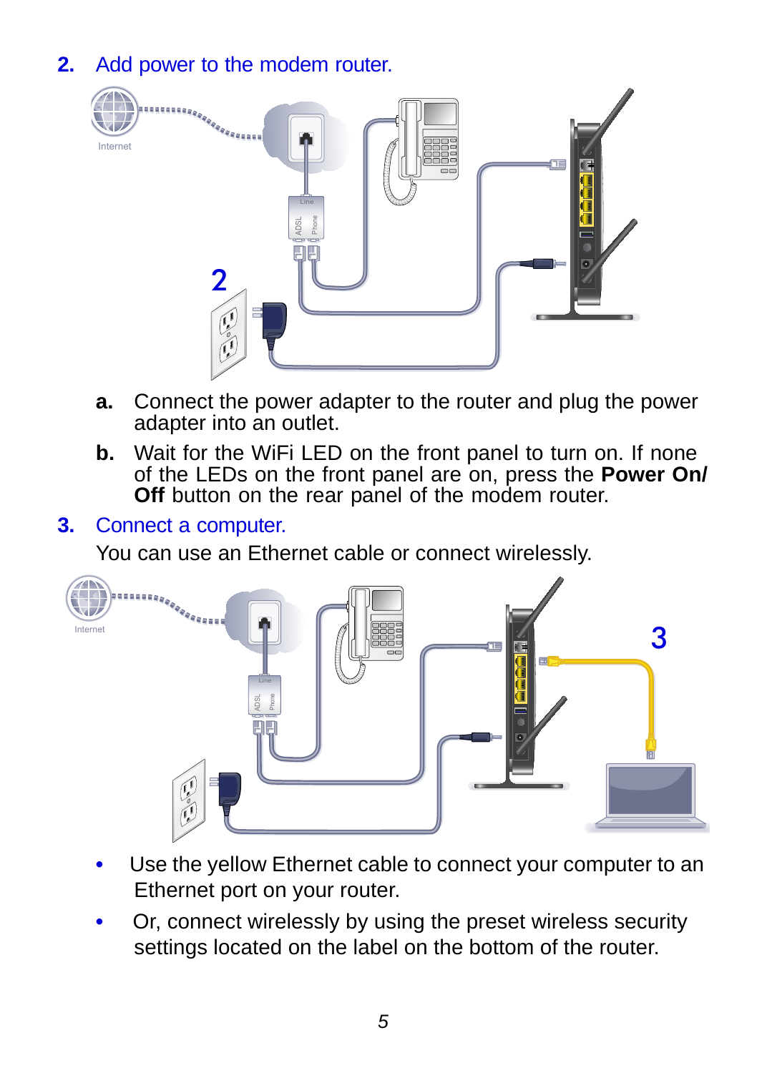**2.** Add power to the modem router.



- **a.** Connect the power adapter to the router and plug the power adapter into an outlet.
- **b.** Wait for the WiFi LED on the front panel to turn on. If none of the LEDs on the front panel are on, press the **Power On/ Off** button on the rear panel of the modem router.

#### **3.** Connect a computer.

You can use an Ethernet cable or connect wirelessly.



- Use the yellow Ethernet cable to connect your computer to an Ethernet port on your router.
- Or, connect wirelessly by using the preset wireless security settings located on the label on the bottom of the router.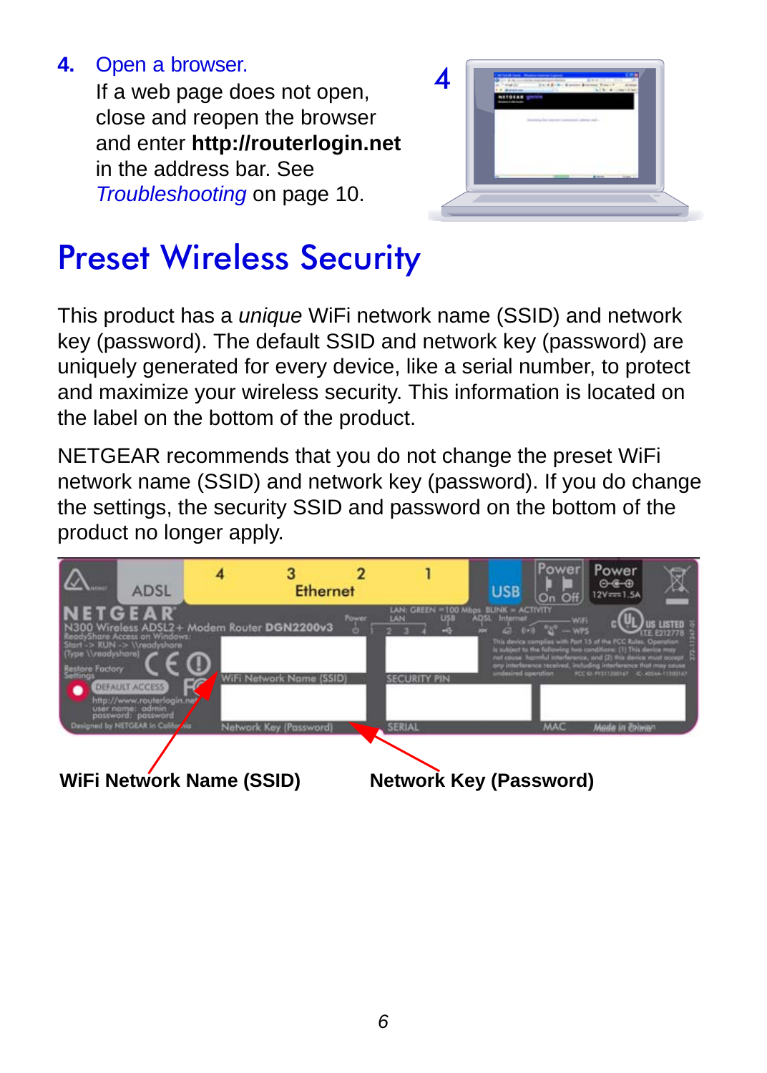### **4.** Open a browser.

If a web page does not open, close and reopen the browser and enter **http://routerlogin.net** in the address bar. See *[Troubleshooting](#page-11-0)* on page 10.



## <span id="page-7-0"></span>Preset Wireless Security

This product has a *unique* WiFi network name (SSID) and network key (password). The default SSID and network key (password) are uniquely generated for every device, like a serial number, to protect and maximize your wireless security. This information is located on the label on the bottom of the product.

NETGEAR recommends that you do not change the preset WiFi network name (SSID) and network key (password). If you do change the settings, the security SSID and password on the bottom of the product no longer apply.

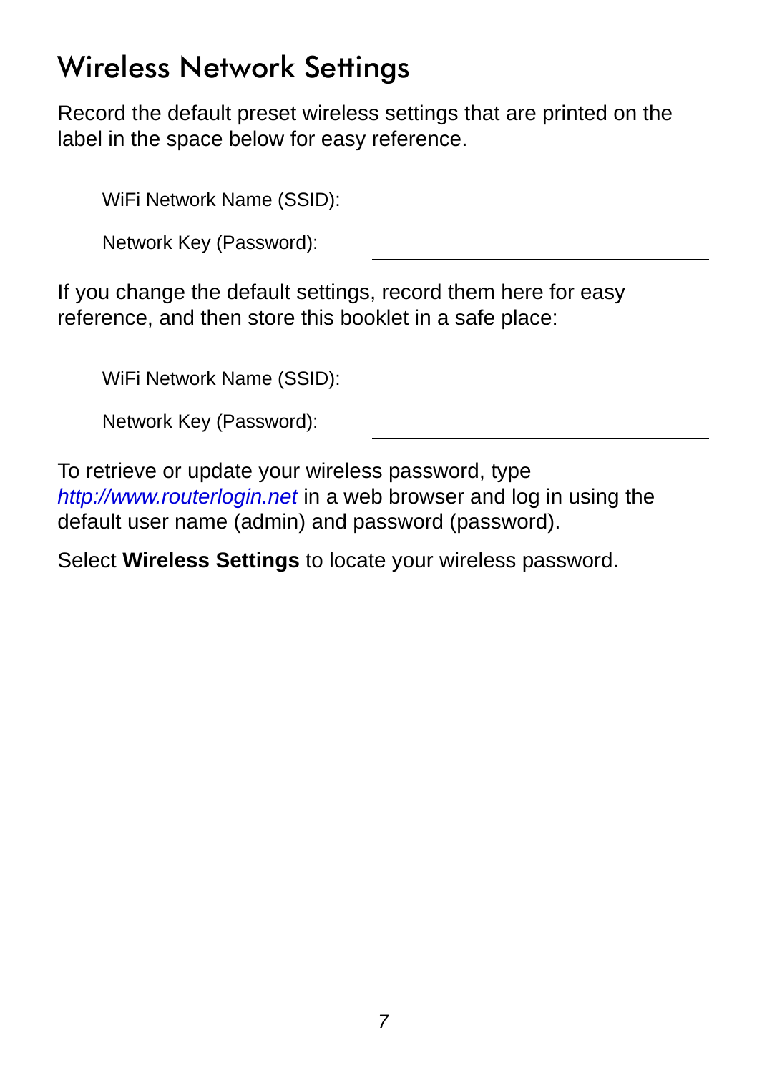## <span id="page-8-0"></span>Wireless Network Settings

Record the default preset wireless settings that are printed on the label in the space below for easy reference.

| WiFi Network Name (SSID): |  |
|---------------------------|--|
| Network Key (Password):   |  |

If you change the default settings, record them here for easy reference, and then store this booklet in a safe place:

| WiFi Network Name (SSID): |
|---------------------------|
|---------------------------|

|  | Network Key (Password): |
|--|-------------------------|
|--|-------------------------|

To retrieve or update your wireless password, type *http://www.routerlogin.net* in a web browser and log in using the default user name (admin) and password (password).

Select **Wireless Settings** to locate your wireless password.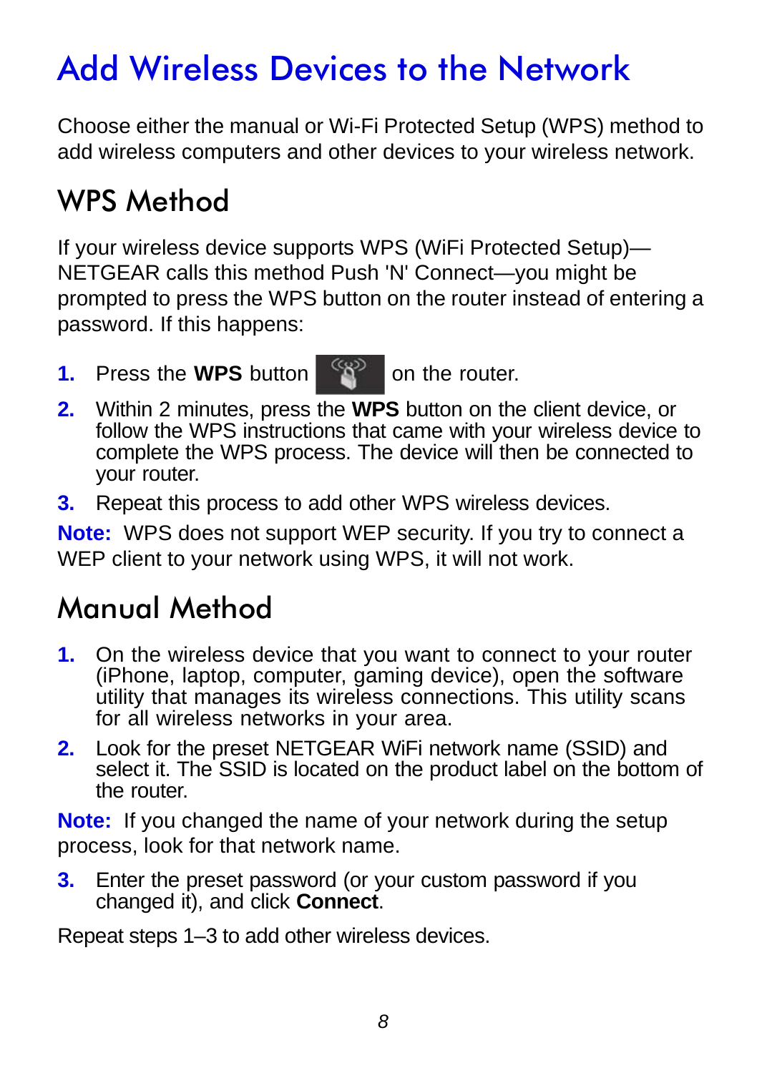## <span id="page-9-0"></span>Add Wireless Devices to the Network

Choose either the manual or Wi-Fi Protected Setup (WPS) method to add wireless computers and other devices to your wireless network.

## <span id="page-9-1"></span>WPS Method

If your wireless device supports WPS (WiFi Protected Setup)— NETGEAR calls this method Push 'N' Connect—you might be prompted to press the WPS button on the router instead of entering a password. If this happens:

**1.** Press the WPS button  $\mathbb{R}^n$  on the router.

- **2.** Within 2 minutes, press the **WPS** button on the client device, or follow the WPS instructions that came with your wireless device to complete the WPS process. The device will then be connected to your router.
- **3.** Repeat this process to add other WPS wireless devices.

**Note:** WPS does not support WEP security. If you try to connect a WEP client to your network using WPS, it will not work.

### <span id="page-9-2"></span>Manual Method

- **1.** On the wireless device that you want to connect to your router (iPhone, laptop, computer, gaming device), open the software utility that manages its wireless connections. This utility scans for all wireless networks in your area.
- **2.** Look for the preset NETGEAR WiFi network name (SSID) and select it. The SSID is located on the product label on the bottom of the router.

**Note:** If you changed the name of your network during the setup process, look for that network name.

**3.** Enter the preset password (or your custom password if you changed it), and click **Connect**.

Repeat steps 1–3 to add other wireless devices.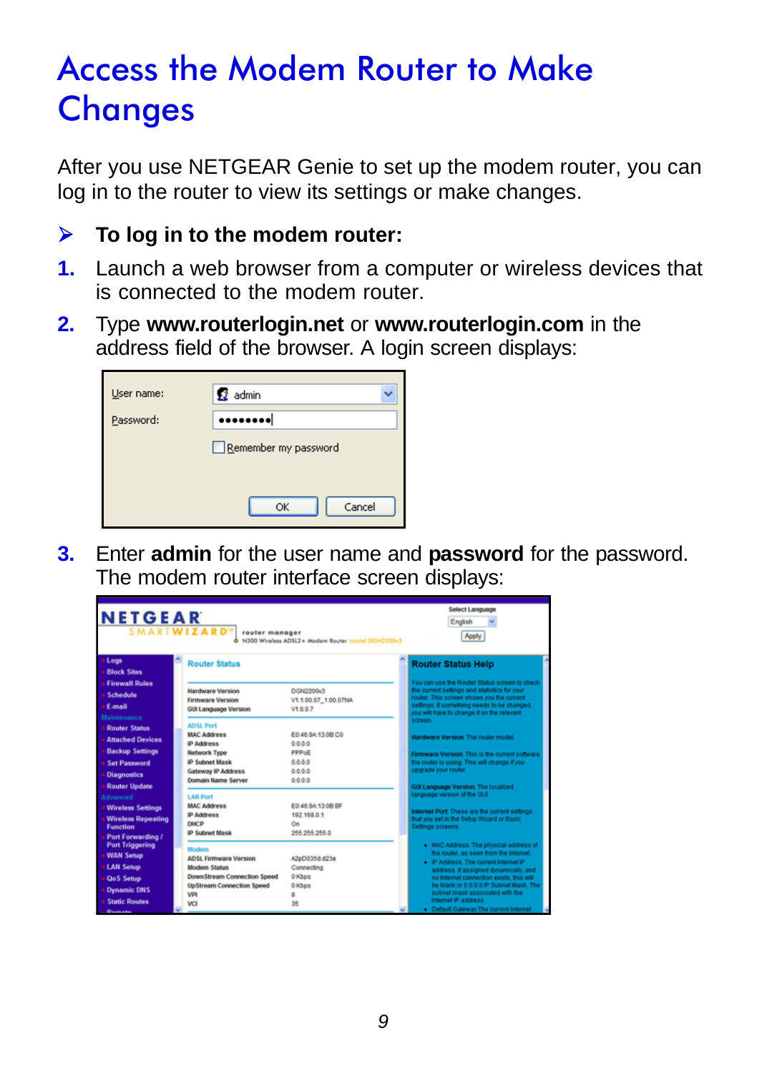## <span id="page-10-0"></span>Access the Modem Router to Make **Changes**

After you use NETGEAR Genie to set up the modem router, you can log in to the router to view its settings or make changes.

#### **To log in to the modem router:**

- **1.** Launch a web browser from a computer or wireless devices that is connected to the modem router.
- **2.** Type **www.routerlogin.net** or **www.routerlogin.com** in the address field of the browser. A login screen displays:

| User name: | <b>R</b> admin       |
|------------|----------------------|
| Password:  |                      |
|            | Remember my password |
|            |                      |
|            | Cancel<br>OK         |

**3.** Enter **admin** for the user name and **password** for the password. The modem router interface screen displays:

| Select Language<br><b>NETGEAR</b><br>English<br><b>SMARTWIZARD"</b><br>router manager<br>Apply<br>N300 Wireless AD512+ Modern Router model DCN2200v3 |                                                                                                      |                                                         |                                                                                                                                                                                                                                         |
|------------------------------------------------------------------------------------------------------------------------------------------------------|------------------------------------------------------------------------------------------------------|---------------------------------------------------------|-----------------------------------------------------------------------------------------------------------------------------------------------------------------------------------------------------------------------------------------|
| Logs<br><b>Block Sites</b>                                                                                                                           | <b>Router Status</b>                                                                                 |                                                         | <b>Router Status Help</b>                                                                                                                                                                                                               |
| <b>Firewall Rules</b><br>Schedule<br>Email<br>Maintenance                                                                                            | <b>Hardware Version</b><br><b>Firmware Version</b><br><b>GUI Language Version</b>                    | DGN2200v3<br>V1.1.00.07_1.00.07NA<br>V1007              | You can use the Router Status screen to check<br>the current settings and statistics for your<br>router. This screen shows you the current<br>settings. If something needs to be changed.<br>you will have to change it on the relevant |
| <b>Router Status</b><br><b>Attached Devices</b><br><b>Backup Settings</b>                                                                            | <b>ADSL Port</b><br><b>MAC Address</b><br><b>IP Address</b><br><b>Network Type</b>                   | E0:46:9A:13:0B:C0<br>0.0.0.0<br><b>PPPoF</b>            | screen.<br>Hardware Version: The router model<br>Firmware Version: This is the current software                                                                                                                                         |
| <b>Set Password</b><br><b>Diagnostics</b><br><b>Router Update</b><br>Advanced                                                                        | <b>IP Subnet Mask</b><br><b>Gateway IP Address</b><br>Domain Name Server<br><b>LAN Port</b>          | 6666<br>0.0.0.0<br>0.0.0.0                              | the router is using. This will change if you<br>upgrade your router.<br><b>GUI Language Version: The localized</b><br>language version of the GUL                                                                                       |
| <b>Wireless Settings</b><br><b>Wireless Repeating</b><br><b>Function</b><br>Port Forwarding /                                                        | <b>MAC Address</b><br><b>IP Address</b><br><b>DIACP</b><br><b>IP Subnet Mask</b>                     | E0:46:9A:13:0B:RF<br>192,168.0.1<br>On<br>255 255 255 0 | Internet Port: These are the current settings<br>that you set in the Setup Wizard or Basic<br>Selfings screens                                                                                                                          |
| <b>Port Triggering</b><br><b>WAN Setup</b><br><b>LAN Setup</b>                                                                                       | Modern<br><b>ADSI Firmware Version</b><br><b>Modern Status</b><br><b>DownStream Connection Speed</b> | A2eD035d.d23e<br>Connecting<br>0 Kbps                   | . MAC Address. The physical address of<br>the router, as seen from the Internet.<br>. IP Address. The current Internet IP<br>address. If assigned dimamically, and                                                                      |
| <b>QoS Setup</b><br><b>Dynamic DNS</b><br><b>Static Routes</b><br>Demotion                                                                           | <b>UpStream Connection Speed</b><br><b>VPI</b><br>va                                                 | 0 Kbps<br>٠<br>36                                       | no Internet connection exists. this will<br>be blank or 0.0.0.0 IP Subnet Mask The<br>subnet mask associated with the<br>Internet IP address.<br>· Default Galeway The current Internet                                                 |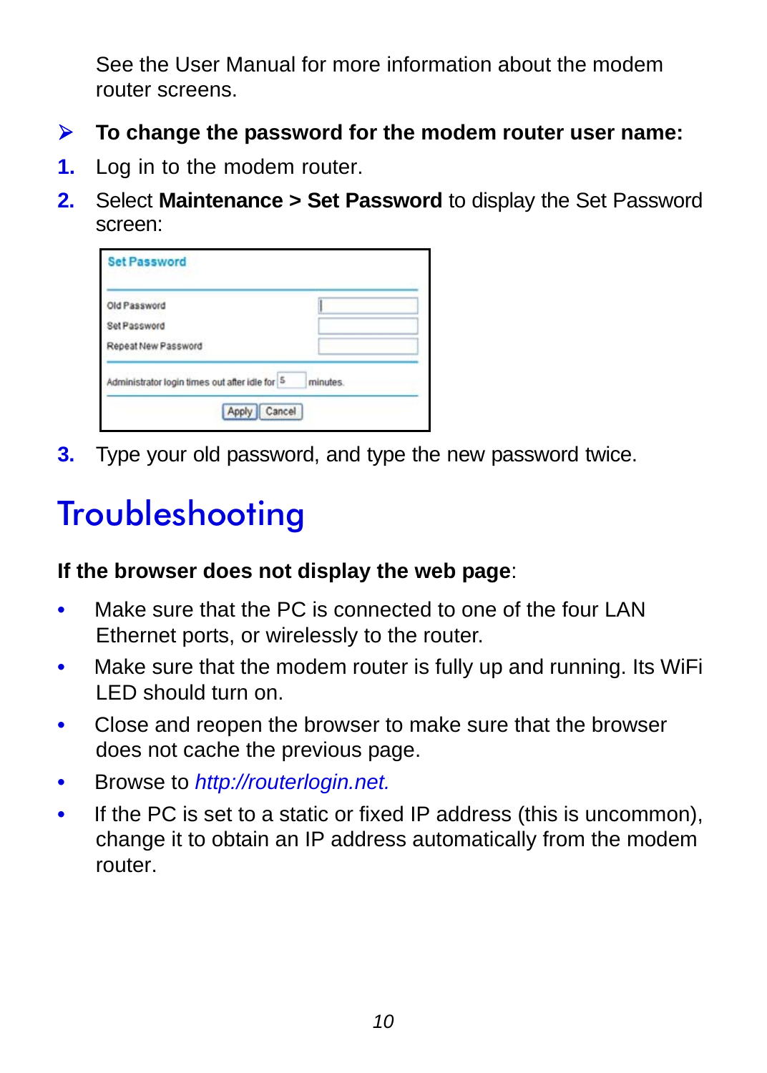See the User Manual for more information about the modem router screens.

- **To change the password for the modem router user name:**
- **1.** Log in to the modem router.
- **2.** Select **Maintenance > Set Password** to display the Set Password screen:

| <b>Set Password</b>                            |                 |
|------------------------------------------------|-----------------|
| Old Password                                   |                 |
| Set Password                                   |                 |
| Repeat New Password                            |                 |
| Administrator login times out after idle for 5 | <i>minutes.</i> |
| Apply                                          | Cancel          |

**3.** Type your old password, and type the new password twice.

## <span id="page-11-0"></span>**Troubleshooting**

#### **If the browser does not display the web page**:

- Make sure that the PC is connected to one of the four LAN Ethernet ports, or wirelessly to the router.
- Make sure that the modem router is fully up and running. Its WiFi LED should turn on.
- Close and reopen the browser to make sure that the browser does not cache the previous page.
- Browse to *http://routerlogin.net.*
- If the PC is set to a static or fixed IP address (this is uncommon), change it to obtain an IP address automatically from the modem router.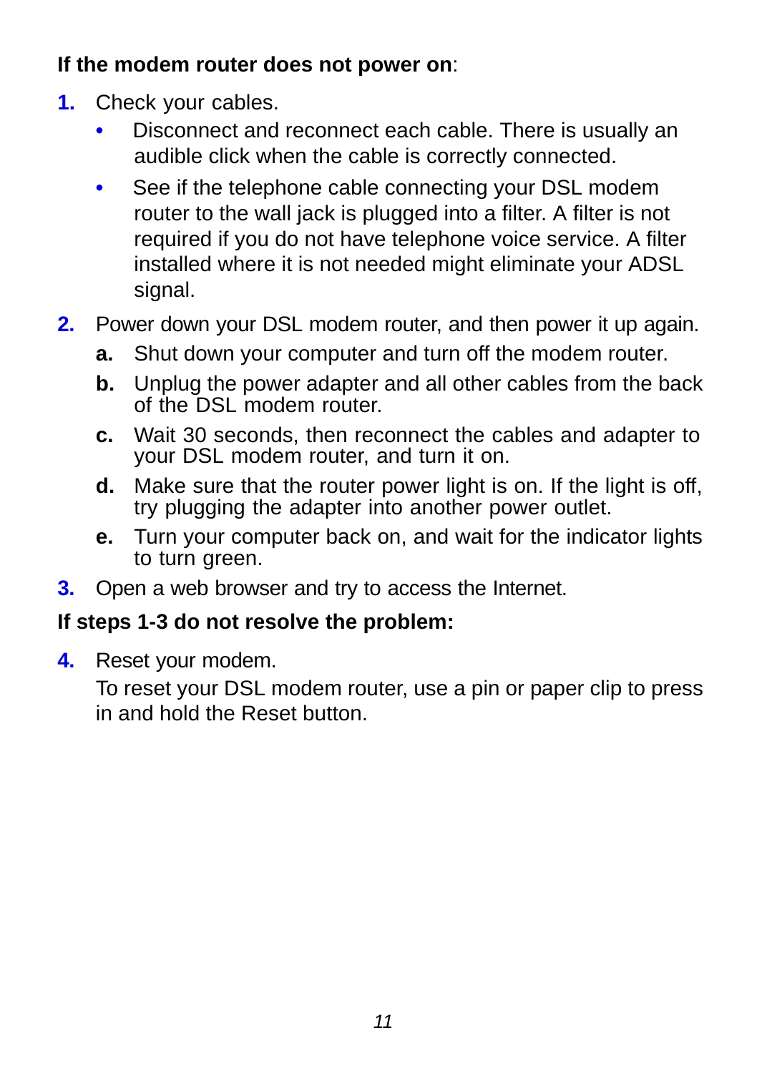### **If the modem router does not power on**:

- **1.** Check your cables.
	- Disconnect and reconnect each cable. There is usually an audible click when the cable is correctly connected.
	- See if the telephone cable connecting your DSL modem router to the wall jack is plugged into a filter. A filter is not required if you do not have telephone voice service. A filter installed where it is not needed might eliminate your ADSL signal.
- **2.** Power down your DSL modem router, and then power it up again.
	- **a.** Shut down your computer and turn off the modem router.
	- **b.** Unplug the power adapter and all other cables from the back of the DSL modem router.
	- **c.** Wait 30 seconds, then reconnect the cables and adapter to your DSL modem router, and turn it on.
	- **d.** Make sure that the router power light is on. If the light is off, try plugging the adapter into another power outlet.
	- **e.** Turn your computer back on, and wait for the indicator lights to turn green.
- **3.** Open a web browser and try to access the Internet.

### **If steps 1-3 do not resolve the problem:**

**4.** Reset your modem.

To reset your DSL modem router, use a pin or paper clip to press in and hold the Reset button.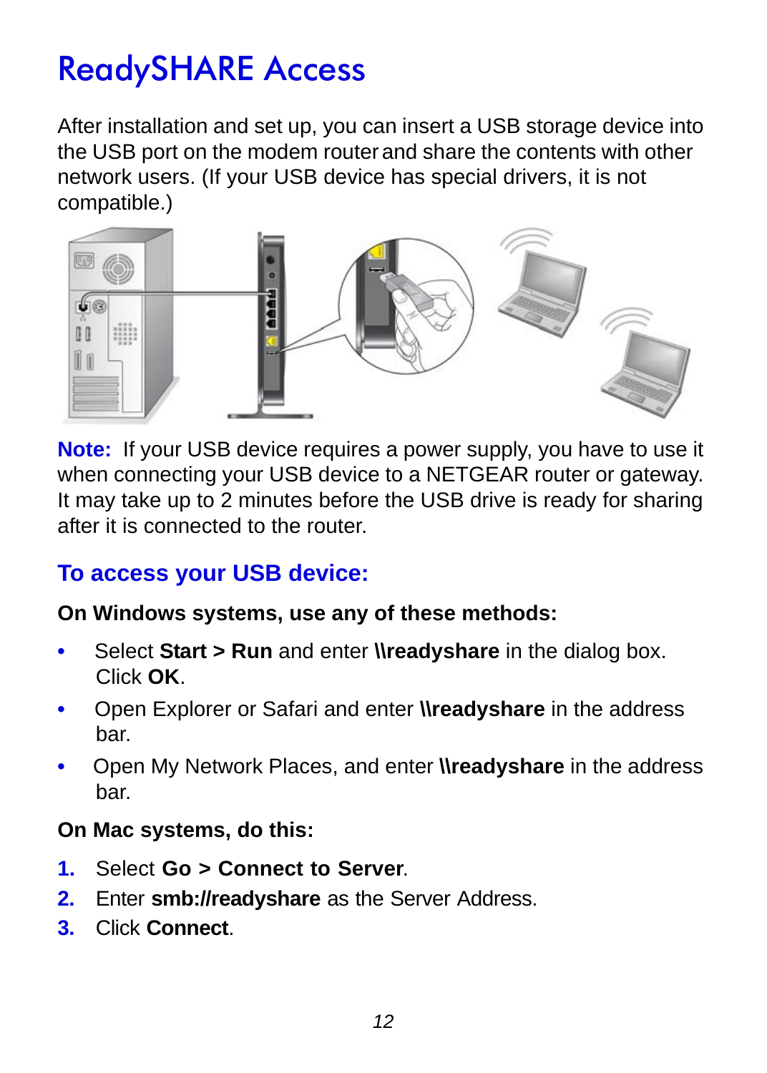## <span id="page-13-0"></span>ReadySHARE Access

After installation and set up, you can insert a USB storage device into the USB port on the modem routerand share the contents with other network users. (If your USB device has special drivers, it is not compatible.)



**Note:** If your USB device requires a power supply, you have to use it when connecting your USB device to a NETGEAR router or gateway. It may take up to 2 minutes before the USB drive is ready for sharing after it is connected to the router.

### **To access your USB device:**

### **On Windows systems, use any of these methods:**

- Select **Start > Run** and enter **\\readyshare** in the dialog box. Click **OK**.
- Open Explorer or Safari and enter **\\readyshare** in the address bar.
- Open My Network Places, and enter **\\readyshare** in the address bar.

### **On Mac systems, do this:**

- **1.** Select **Go > Connect to Server**.
- **2.** Enter **smb://readyshare** as the Server Address.
- **3.** Click **Connect**.